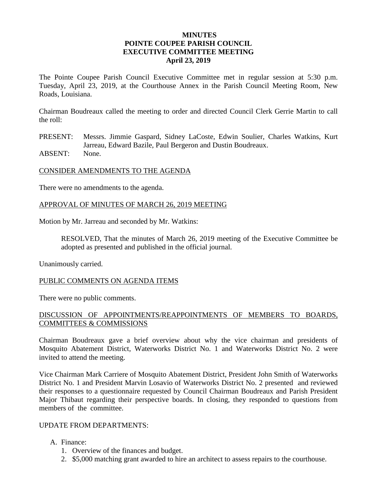# **MINUTES POINTE COUPEE PARISH COUNCIL EXECUTIVE COMMITTEE MEETING April 23, 2019**

The Pointe Coupee Parish Council Executive Committee met in regular session at 5:30 p.m. Tuesday, April 23, 2019, at the Courthouse Annex in the Parish Council Meeting Room, New Roads, Louisiana.

Chairman Boudreaux called the meeting to order and directed Council Clerk Gerrie Martin to call the roll:

PRESENT: Messrs. Jimmie Gaspard, Sidney LaCoste, Edwin Soulier, Charles Watkins, Kurt Jarreau, Edward Bazile, Paul Bergeron and Dustin Boudreaux. ABSENT: None.

#### CONSIDER AMENDMENTS TO THE AGENDA

There were no amendments to the agenda.

#### APPROVAL OF MINUTES OF MARCH 26, 2019 MEETING

Motion by Mr. Jarreau and seconded by Mr. Watkins:

RESOLVED, That the minutes of March 26, 2019 meeting of the Executive Committee be adopted as presented and published in the official journal.

Unanimously carried.

#### PUBLIC COMMENTS ON AGENDA ITEMS

There were no public comments.

## DISCUSSION OF APPOINTMENTS/REAPPOINTMENTS OF MEMBERS TO BOARDS, COMMITTEES & COMMISSIONS

Chairman Boudreaux gave a brief overview about why the vice chairman and presidents of Mosquito Abatement District, Waterworks District No. 1 and Waterworks District No. 2 were invited to attend the meeting.

Vice Chairman Mark Carriere of Mosquito Abatement District, President John Smith of Waterworks District No. 1 and President Marvin Losavio of Waterworks District No. 2 presented and reviewed their responses to a questionnaire requested by Council Chairman Boudreaux and Parish President Major Thibaut regarding their perspective boards. In closing, they responded to questions from members of the committee.

# UPDATE FROM DEPARTMENTS:

- A. Finance:
	- 1. Overview of the finances and budget.
	- 2. \$5,000 matching grant awarded to hire an architect to assess repairs to the courthouse.